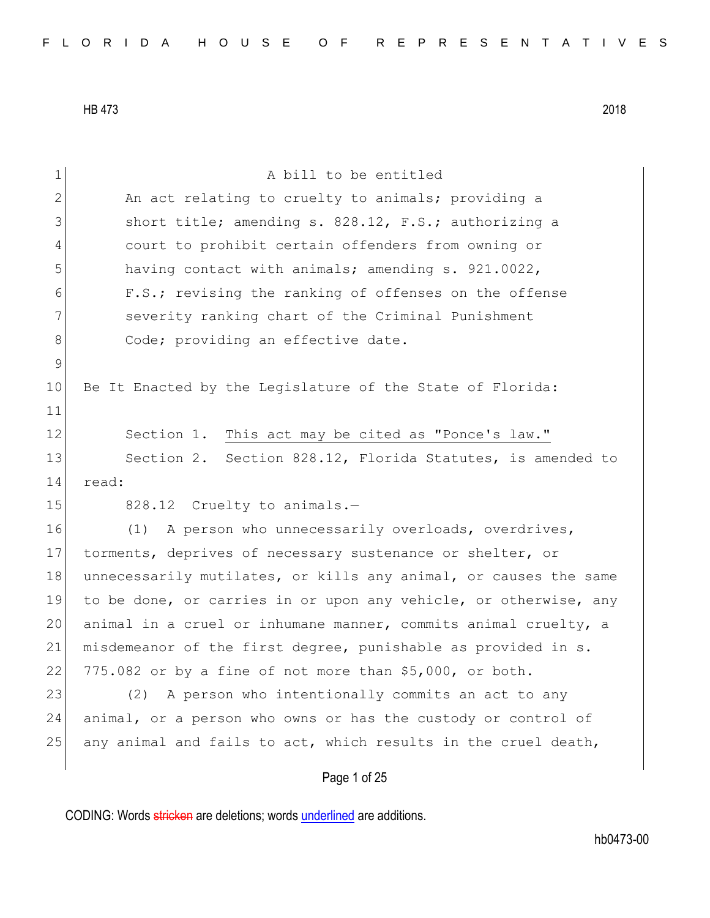| $\mathbf 1$  | A bill to be entitled                                            |
|--------------|------------------------------------------------------------------|
| $\mathbf{2}$ | An act relating to cruelty to animals; providing a               |
| 3            | short title; amending s. 828.12, F.S.; authorizing a             |
| 4            | court to prohibit certain offenders from owning or               |
| 5            | having contact with animals; amending s. 921.0022,               |
| 6            | F.S.; revising the ranking of offenses on the offense            |
| 7            | severity ranking chart of the Criminal Punishment                |
| $8\,$        | Code; providing an effective date.                               |
| $\mathsf 9$  |                                                                  |
| 10           | Be It Enacted by the Legislature of the State of Florida:        |
| 11           |                                                                  |
| 12           | Section 1. This act may be cited as "Ponce's law."               |
| 13           | Section 2. Section 828.12, Florida Statutes, is amended to       |
| 14           | read:                                                            |
| 15           | 828.12 Cruelty to animals.-                                      |
| 16           | A person who unnecessarily overloads, overdrives,<br>(1)         |
| 17           | torments, deprives of necessary sustenance or shelter, or        |
| 18           | unnecessarily mutilates, or kills any animal, or causes the same |
| 19           | to be done, or carries in or upon any vehicle, or otherwise, any |
| 20           | animal in a cruel or inhumane manner, commits animal cruelty, a  |
| 21           | misdemeanor of the first degree, punishable as provided in s.    |
| 22           | 775.082 or by a fine of not more than \$5,000, or both.          |
| 23           | A person who intentionally commits an act to any<br>(2)          |
| 24           | animal, or a person who owns or has the custody or control of    |
| 25           | any animal and fails to act, which results in the cruel death,   |
|              | Page 1 of 25                                                     |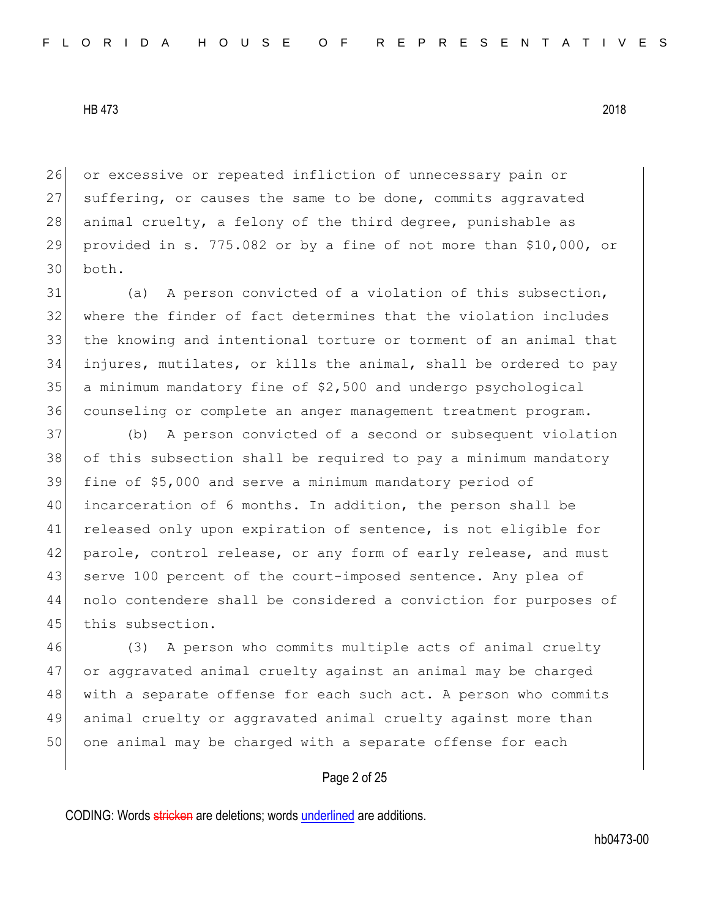26 or excessive or repeated infliction of unnecessary pain or 27 suffering, or causes the same to be done, commits aggravated 28 animal cruelty, a felony of the third degree, punishable as 29 provided in s. 775.082 or by a fine of not more than \$10,000, or 30 both.

31 (a) A person convicted of a violation of this subsection, where the finder of fact determines that the violation includes the knowing and intentional torture or torment of an animal that injures, mutilates, or kills the animal, shall be ordered to pay a minimum mandatory fine of \$2,500 and undergo psychological counseling or complete an anger management treatment program.

37 (b) A person convicted of a second or subsequent violation 38 of this subsection shall be required to pay a minimum mandatory 39 fine of \$5,000 and serve a minimum mandatory period of 40 incarceration of 6 months. In addition, the person shall be 41 released only upon expiration of sentence, is not eligible for 42 parole, control release, or any form of early release, and must 43 serve 100 percent of the court-imposed sentence. Any plea of 44 nolo contendere shall be considered a conviction for purposes of 45 this subsection.

46 (3) A person who commits multiple acts of animal cruelty 47 or aggravated animal cruelty against an animal may be charged 48 with a separate offense for each such act. A person who commits 49 animal cruelty or aggravated animal cruelty against more than 50 one animal may be charged with a separate offense for each

## Page 2 of 25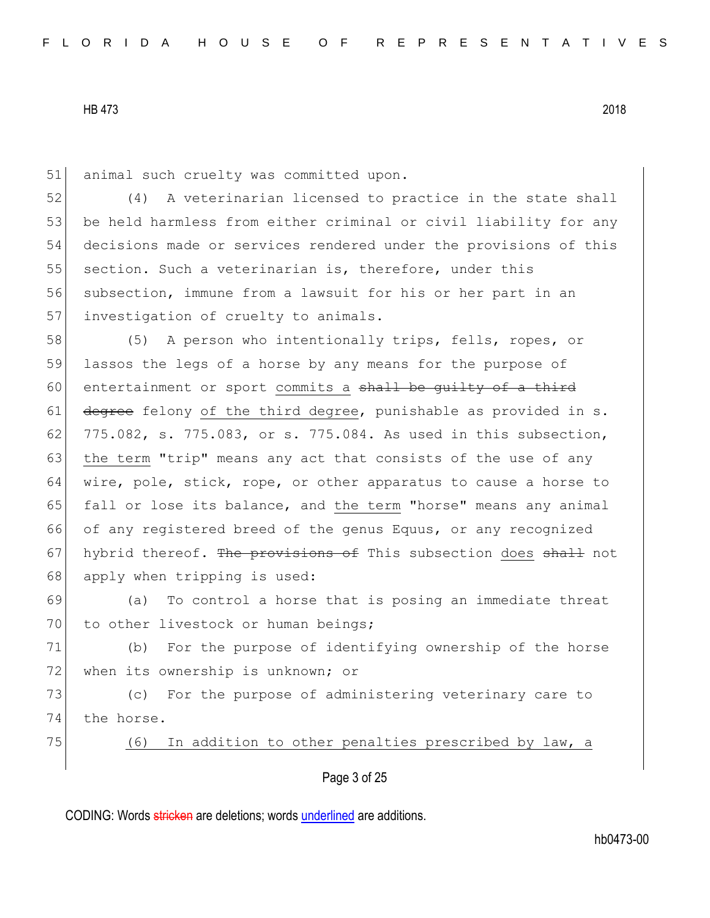51 animal such cruelty was committed upon.

52 (4) A veterinarian licensed to practice in the state shall 53 be held harmless from either criminal or civil liability for any 54 decisions made or services rendered under the provisions of this 55 section. Such a veterinarian is, therefore, under this 56 subsection, immune from a lawsuit for his or her part in an 57 investigation of cruelty to animals.

58 (5) A person who intentionally trips, fells, ropes, or 59 lassos the legs of a horse by any means for the purpose of 60 entertainment or sport commits a shall be quilty of a third 61 degree felony of the third degree, punishable as provided in s. 62 775.082, s. 775.083, or s. 775.084. As used in this subsection, 63 the term "trip" means any act that consists of the use of any 64 wire, pole, stick, rope, or other apparatus to cause a horse to 65 fall or lose its balance, and the term "horse" means any animal 66 of any registered breed of the genus Equus, or any recognized 67 hybrid thereof. The provisions of This subsection does shall not 68 apply when tripping is used:

69 (a) To control a horse that is posing an immediate threat 70 to other livestock or human beings;

71 (b) For the purpose of identifying ownership of the horse 72 when its ownership is unknown; or

73 (c) For the purpose of administering veterinary care to 74 the horse.

75 (6) In addition to other penalties prescribed by law, a

Page 3 of 25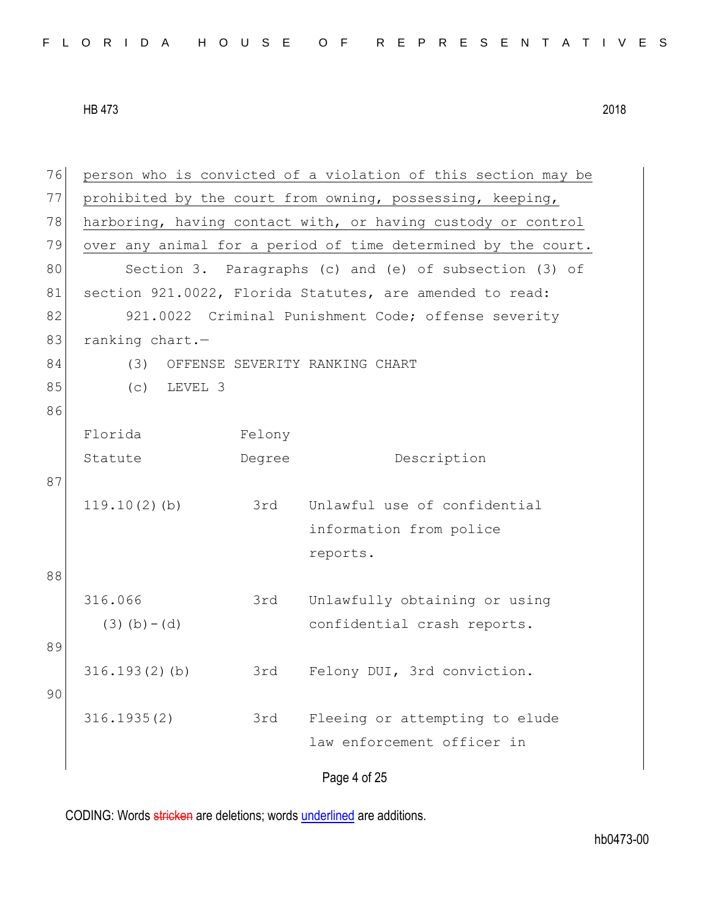|  |  |  |  |  |  |  |  |  |  | FLORIDA HOUSE OF REPRESENTATIVES |  |  |  |  |  |  |  |  |  |  |  |  |  |  |  |  |
|--|--|--|--|--|--|--|--|--|--|----------------------------------|--|--|--|--|--|--|--|--|--|--|--|--|--|--|--|--|
|--|--|--|--|--|--|--|--|--|--|----------------------------------|--|--|--|--|--|--|--|--|--|--|--|--|--|--|--|--|

Page 4 of 25 76 person who is convicted of a violation of this section may be 77 prohibited by the court from owning, possessing, keeping, 78 harboring, having contact with, or having custody or control 79 over any animal for a period of time determined by the court. 80 Section 3. Paragraphs (c) and (e) of subsection (3) of 81 section 921.0022, Florida Statutes, are amended to read: 82 921.0022 Criminal Punishment Code; offense severity 83 ranking chart.-84 (3) OFFENSE SEVERITY RANKING CHART 85 (c) LEVEL 3 86 Florida Statute Felony Degree Description 87 119.10(2)(b) 3rd Unlawful use of confidential information from police reports. 88 316.066  $(3)(b)-(d)$ 3rd Unlawfully obtaining or using confidential crash reports. 89 316.193(2)(b) 3rd Felony DUI, 3rd conviction. 90 316.1935(2) 3rd Fleeing or attempting to elude law enforcement officer in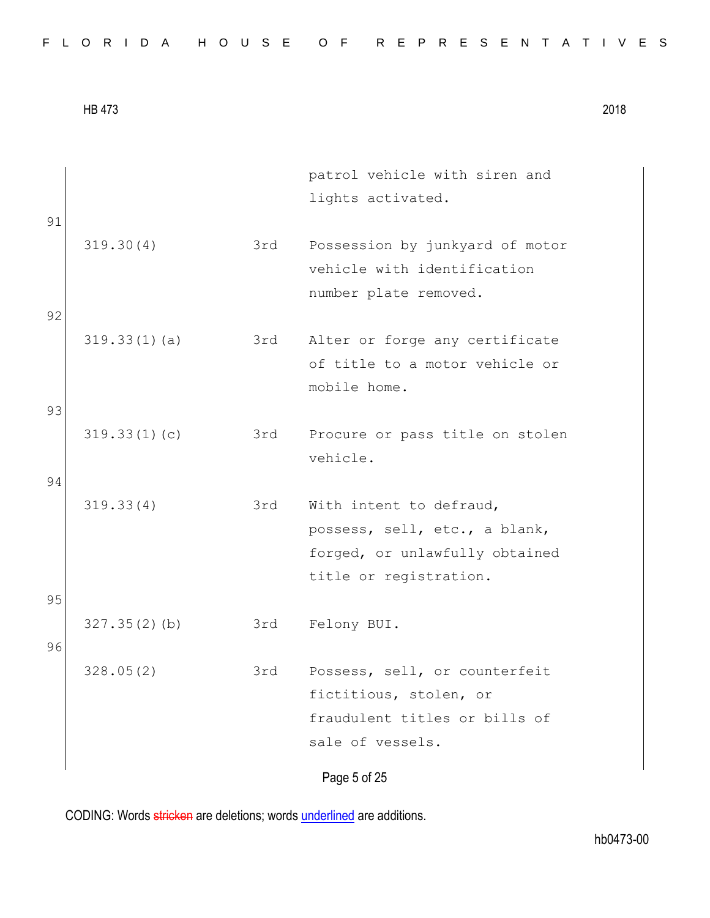|  |  |  |  |  |  |  |  |  | FLORIDA HOUSE OF REPRESENTATIVES |  |  |  |  |  |  |  |  |  |  |  |  |  |  |  |  |  |  |  |  |  |  |  |  |
|--|--|--|--|--|--|--|--|--|----------------------------------|--|--|--|--|--|--|--|--|--|--|--|--|--|--|--|--|--|--|--|--|--|--|--|--|
|--|--|--|--|--|--|--|--|--|----------------------------------|--|--|--|--|--|--|--|--|--|--|--|--|--|--|--|--|--|--|--|--|--|--|--|--|

| 91 |                 |     | patrol vehicle with siren and<br>lights activated.                                      |
|----|-----------------|-----|-----------------------------------------------------------------------------------------|
|    | 319.30(4)       | 3rd | Possession by junkyard of motor<br>vehicle with identification<br>number plate removed. |
| 92 |                 |     |                                                                                         |
|    | 319.33(1)(a)    | 3rd | Alter or forge any certificate<br>of title to a motor vehicle or<br>mobile home.        |
| 93 |                 |     |                                                                                         |
|    | 319.33(1)(c)    | 3rd | Procure or pass title on stolen<br>vehicle.                                             |
| 94 |                 |     |                                                                                         |
|    | 319.33(4)       | 3rd | With intent to defraud,                                                                 |
|    |                 |     | possess, sell, etc., a blank,<br>forged, or unlawfully obtained                         |
|    |                 |     | title or registration.                                                                  |
| 95 |                 |     |                                                                                         |
| 96 | $327.35(2)$ (b) | 3rd | Felony BUI.                                                                             |
|    | 328.05(2)       | 3rd | Possess, sell, or counterfeit                                                           |
|    |                 |     | fictitious, stolen, or                                                                  |
|    |                 |     | fraudulent titles or bills of                                                           |
|    |                 |     | sale of vessels.                                                                        |
|    |                 |     | Page 5 of 25                                                                            |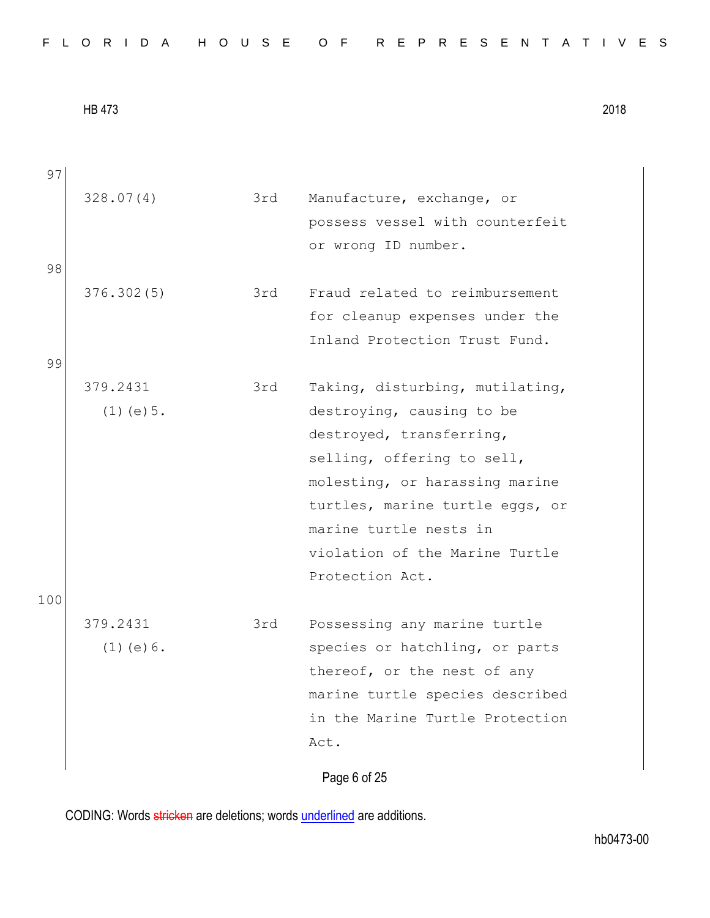| FLORIDA HOUSE OF REPRESENTATIVES |  |
|----------------------------------|--|
|----------------------------------|--|

Page 6 of 25 97 328.07(4) 3rd Manufacture, exchange, or possess vessel with counterfeit or wrong ID number. 98 376.302(5) 3rd Fraud related to reimbursement for cleanup expenses under the Inland Protection Trust Fund. 99 379.2431 (1)(e)5. 3rd Taking, disturbing, mutilating, destroying, causing to be destroyed, transferring, selling, offering to sell, molesting, or harassing marine turtles, marine turtle eggs, or marine turtle nests in violation of the Marine Turtle Protection Act. 100 379.2431 (1)(e)6. 3rd Possessing any marine turtle species or hatchling, or parts thereof, or the nest of any marine turtle species described in the Marine Turtle Protection Act.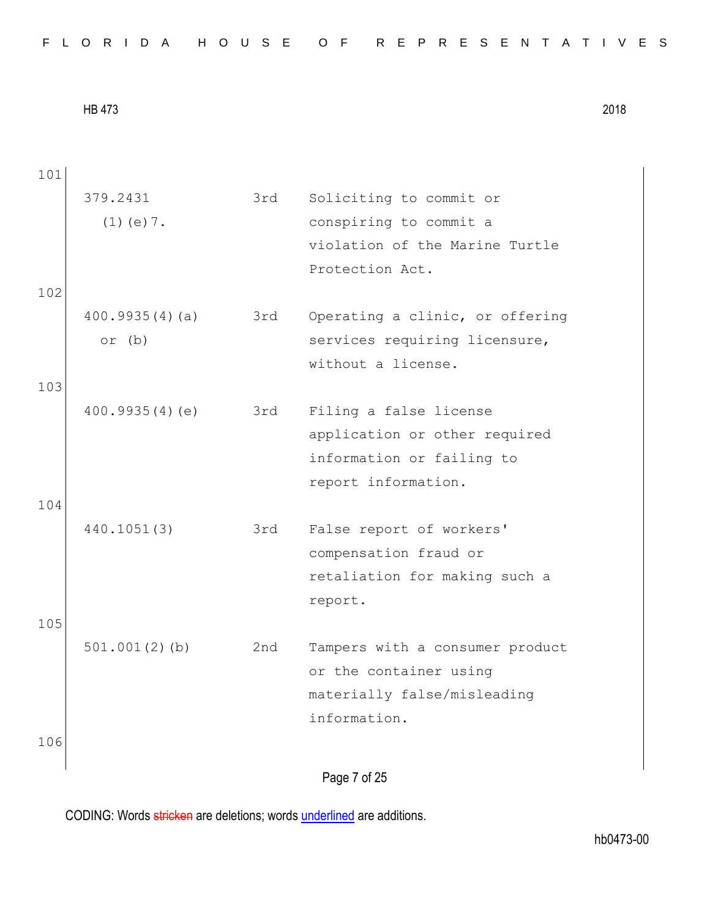| FLORIDA HOUSE OF REPRESENTATIVES |  |
|----------------------------------|--|
|----------------------------------|--|

| 101 |                  |     |                                 |
|-----|------------------|-----|---------------------------------|
|     | 379.2431         | 3rd | Soliciting to commit or         |
|     | $(1)$ (e) $7$ .  |     | conspiring to commit a          |
|     |                  |     | violation of the Marine Turtle  |
|     |                  |     | Protection Act.                 |
| 102 |                  |     |                                 |
|     | 400.9935(4)(a)   | 3rd | Operating a clinic, or offering |
|     | or $(b)$         |     | services requiring licensure,   |
|     |                  |     | without a license.              |
| 103 |                  |     |                                 |
|     | 400.9935(4)(e)   | 3rd | Filing a false license          |
|     |                  |     | application or other required   |
|     |                  |     | information or failing to       |
|     |                  |     | report information.             |
| 104 |                  |     |                                 |
|     | 440.1051(3)      | 3rd | False report of workers'        |
|     |                  |     | compensation fraud or           |
|     |                  |     | retaliation for making such a   |
|     |                  |     | report.                         |
| 105 |                  |     |                                 |
|     | $501.001(2)$ (b) | 2nd | Tampers with a consumer product |
|     |                  |     | or the container using          |
|     |                  |     | materially false/misleading     |
|     |                  |     | information.                    |
| 106 |                  |     |                                 |
|     |                  |     | Page 7 of 25                    |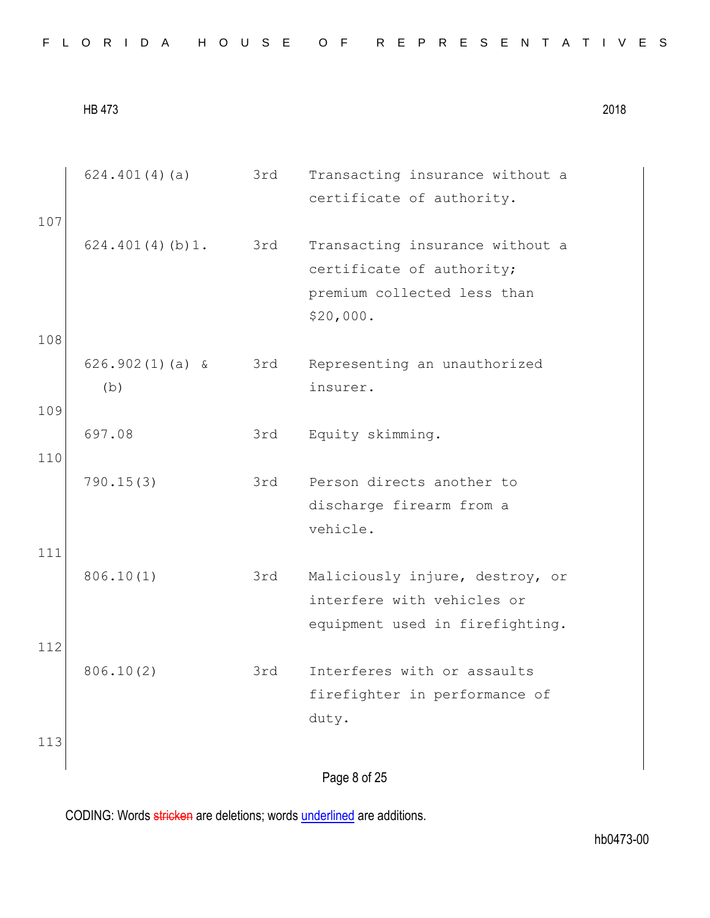|     | 624.401(4)(a)            | 3rd | Transacting insurance without a<br>certificate of authority.                                             |
|-----|--------------------------|-----|----------------------------------------------------------------------------------------------------------|
| 107 |                          |     |                                                                                                          |
|     | 624.401(4)(b)1.          | 3rd | Transacting insurance without a<br>certificate of authority;<br>premium collected less than<br>\$20,000. |
| 108 |                          |     |                                                                                                          |
|     | $626.902(1)(a)$ &<br>(b) | 3rd | Representing an unauthorized<br>insurer.                                                                 |
| 109 |                          |     |                                                                                                          |
|     | 697.08                   | 3rd | Equity skimming.                                                                                         |
| 110 |                          |     |                                                                                                          |
|     | 790.15(3)                | 3rd | Person directs another to<br>discharge firearm from a<br>vehicle.                                        |
| 111 |                          |     |                                                                                                          |
|     | 806.10(1)                | 3rd | Maliciously injure, destroy, or<br>interfere with vehicles or<br>equipment used in firefighting.         |
| 112 |                          |     |                                                                                                          |
| 113 | 806.10(2)                | 3rd | Interferes with or assaults<br>firefighter in performance of<br>duty.                                    |
|     |                          |     | Page 8 of 25                                                                                             |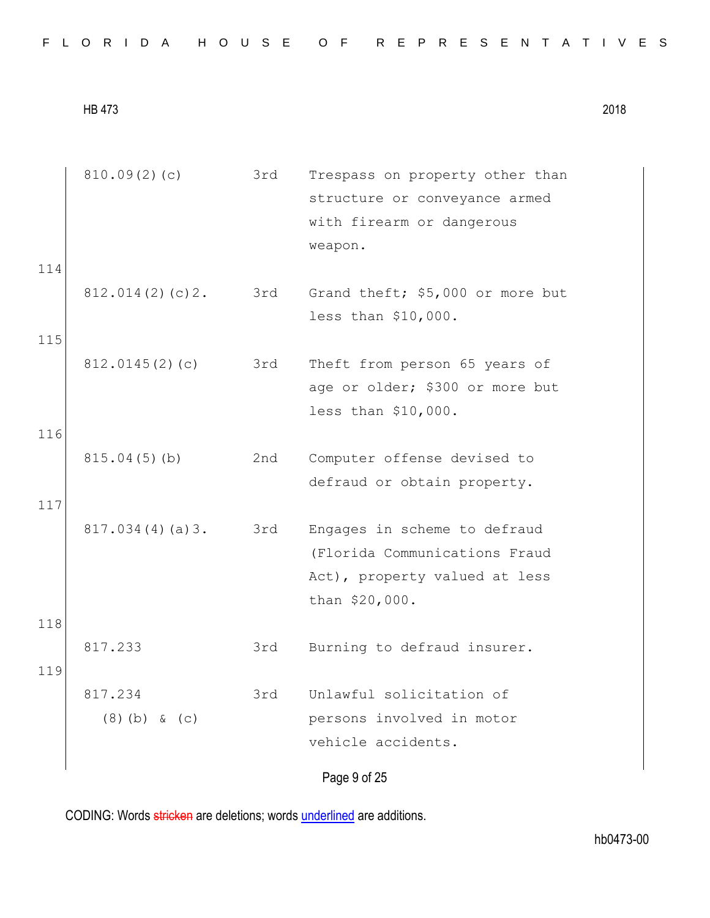| 114        | 810.09(2)(c)               | 3rd | Trespass on property other than<br>structure or conveyance armed<br>with firearm or dangerous<br>weapon.         |
|------------|----------------------------|-----|------------------------------------------------------------------------------------------------------------------|
| 115        | 812.014(2)(c)2.            | 3rd | Grand theft; \$5,000 or more but<br>less than \$10,000.                                                          |
|            | 812.0145(2)(c)             | 3rd | Theft from person 65 years of<br>age or older; \$300 or more but<br>less than \$10,000.                          |
| 116<br>117 | 815.04(5)(b)               | 2nd | Computer offense devised to<br>defraud or obtain property.                                                       |
|            | 817.034(4)(a)3.            | 3rd | Engages in scheme to defraud<br>(Florida Communications Fraud<br>Act), property valued at less<br>than \$20,000. |
| 118<br>119 | 817.233                    | 3rd | Burning to defraud insurer.                                                                                      |
|            | 817.234<br>$(8)$ (b) & (c) | 3rd | Unlawful solicitation of<br>persons involved in motor<br>vehicle accidents.                                      |
|            |                            |     | Page 9 of 25                                                                                                     |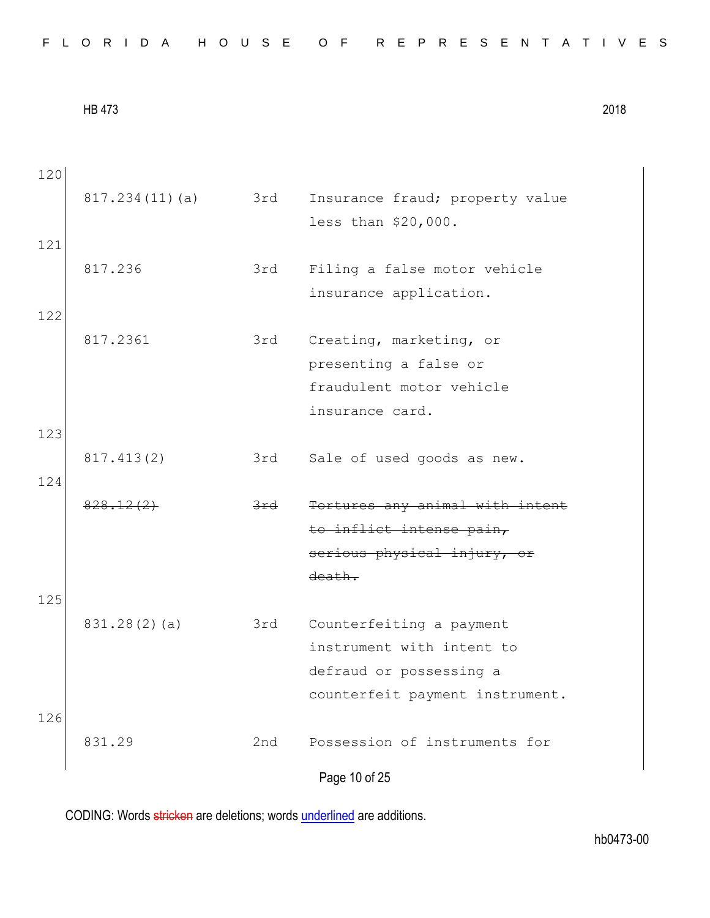Page 10 of 25 120 817.234(11)(a) 3rd Insurance fraud; property value less than \$20,000. 121 817.236 3rd Filing a false motor vehicle insurance application. 122 817.2361 3rd Creating, marketing, or presenting a false or fraudulent motor vehicle insurance card. 123 817.413(2) 3rd Sale of used goods as new. 124 828.12(2) 3rd Tortures any animal with intent to inflict intense pain, serious physical injury, or death. 125 831.28(2)(a) 3rd Counterfeiting a payment instrument with intent to defraud or possessing a counterfeit payment instrument. 126 831.29 2nd Possession of instruments for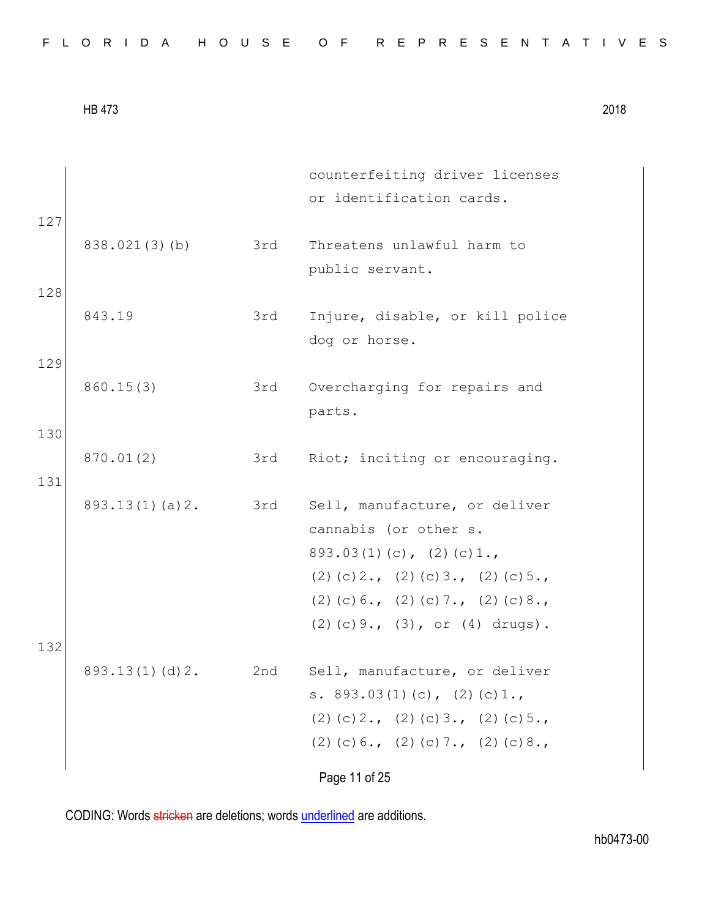| FLORIDA HOUSE OF REPRESENTATIVES |  |
|----------------------------------|--|
|----------------------------------|--|

Page 11 of 25 counterfeiting driver licenses or identification cards. 127 838.021(3)(b) 3rd Threatens unlawful harm to public servant. 128 843.19 3rd Injure, disable, or kill police dog or horse. 129 860.15(3) 3rd Overcharging for repairs and parts. 130 870.01(2) 3rd Riot; inciting or encouraging. 131 893.13(1)(a)2. 3rd Sell, manufacture, or deliver cannabis (or other s. 893.03(1)(c), (2)(c)1., (2)(c)2., (2)(c)3., (2)(c)5., (2)(c)  $6.$ , (2)(c)  $7.$ , (2)(c)  $8.$ , (2)(c)9., (3), or (4) drugs). 132 893.13(1)(d)2. 2nd Sell, manufacture, or deliver s. 893.03(1)(c), (2)(c)1., (2)(c)2., (2)(c)3., (2)(c)5., (2)(c)  $6.$ , (2)(c)  $7.$ , (2)(c)  $8.$ ,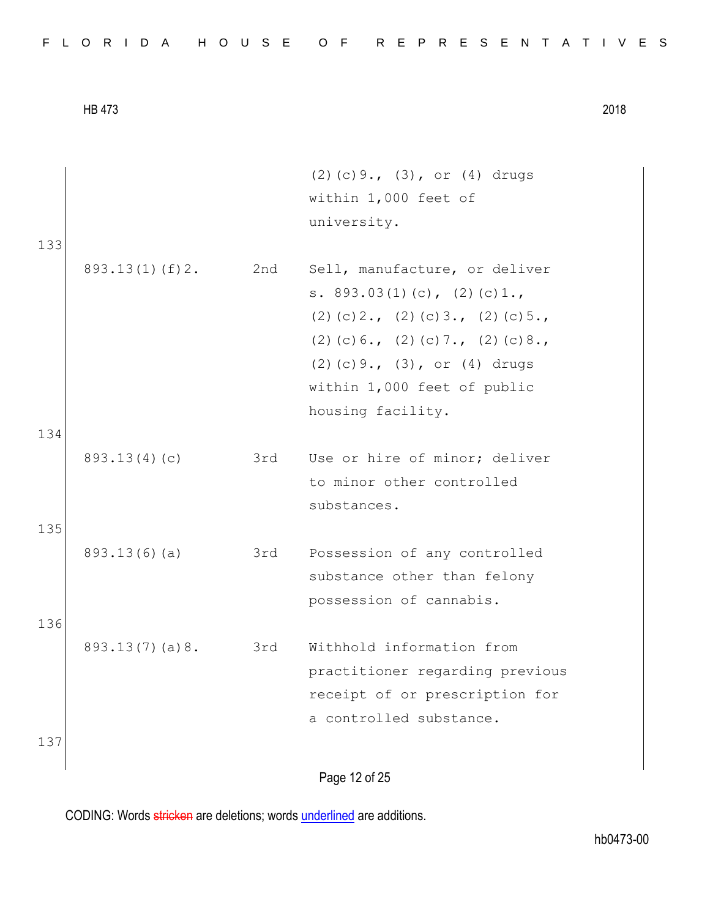|  |  |  |  |  |  |  |  |  |  |  |  |  |  | FLORIDA HOUSE OF REPRESENTATIVES |  |  |  |  |  |  |  |  |  |  |  |  |  |  |  |  |  |
|--|--|--|--|--|--|--|--|--|--|--|--|--|--|----------------------------------|--|--|--|--|--|--|--|--|--|--|--|--|--|--|--|--|--|
|--|--|--|--|--|--|--|--|--|--|--|--|--|--|----------------------------------|--|--|--|--|--|--|--|--|--|--|--|--|--|--|--|--|--|

|     |                    |     | $(2)$ (c) 9., $(3)$ , or $(4)$ drugs  |
|-----|--------------------|-----|---------------------------------------|
|     |                    |     | within 1,000 feet of                  |
|     |                    |     | university.                           |
| 133 |                    |     |                                       |
|     | $893.13(1)$ (f) 2. | 2nd | Sell, manufacture, or deliver         |
|     |                    |     | s. $893.03(1)(c)$ , $(2)(c)1.$        |
|     |                    |     | $(2)$ (c) 2., (2) (c) 3., (2) (c) 5., |
|     |                    |     | $(2)$ (c) 6., (2) (c) 7., (2) (c) 8., |
|     |                    |     | $(2)$ (c) 9., $(3)$ , or $(4)$ drugs  |
|     |                    |     | within 1,000 feet of public           |
|     |                    |     | housing facility.                     |
| 134 |                    |     |                                       |
|     | 893.13(4)(c)       |     | 3rd Use or hire of minor; deliver     |
|     |                    |     | to minor other controlled             |
|     |                    |     | substances.                           |
| 135 |                    |     |                                       |
|     | 893.13(6)(a)       | 3rd | Possession of any controlled          |
|     |                    |     | substance other than felony           |
|     |                    |     | possession of cannabis.               |
| 136 |                    |     |                                       |
|     | 893.13(7)(a)8.     | 3rd | Withhold information from             |
|     |                    |     | practitioner regarding previous       |
|     |                    |     | receipt of or prescription for        |
|     |                    |     | a controlled substance.               |
| 137 |                    |     |                                       |
|     |                    |     | Page 12 of 25                         |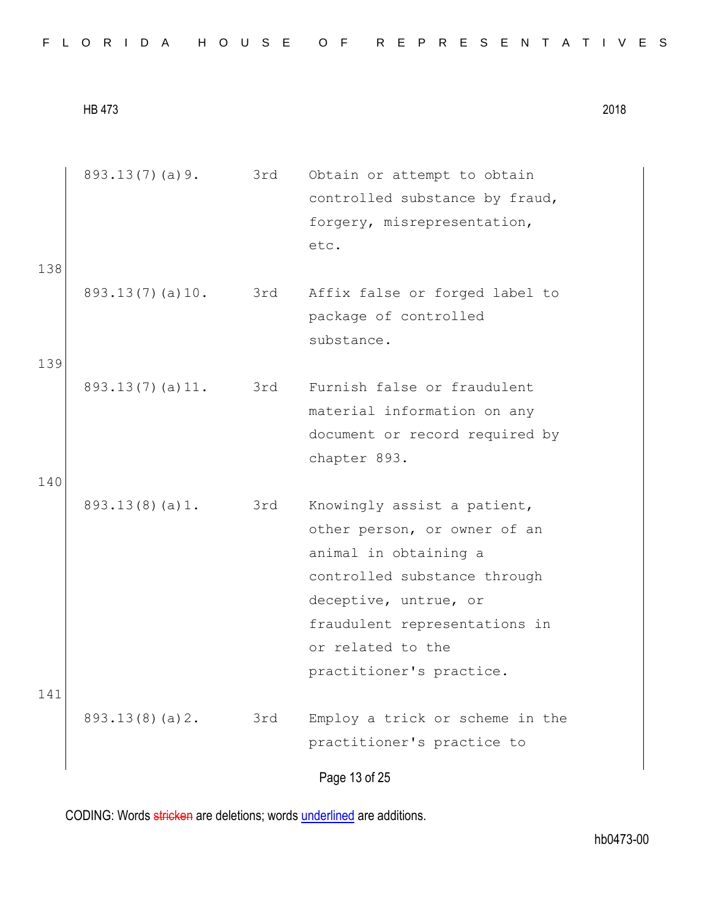Page 13 of 25 893.13(7)(a)9. 3rd Obtain or attempt to obtain controlled substance by fraud, forgery, misrepresentation, etc. 138 893.13(7)(a)10. 3rd Affix false or forged label to package of controlled substance. 139 893.13(7)(a)11. 3rd Furnish false or fraudulent material information on any document or record required by chapter 893. 140 893.13(8)(a)1. 3rd Knowingly assist a patient, other person, or owner of an animal in obtaining a controlled substance through deceptive, untrue, or fraudulent representations in or related to the practitioner's practice. 141 893.13(8)(a)2. 3rd Employ a trick or scheme in the practitioner's practice to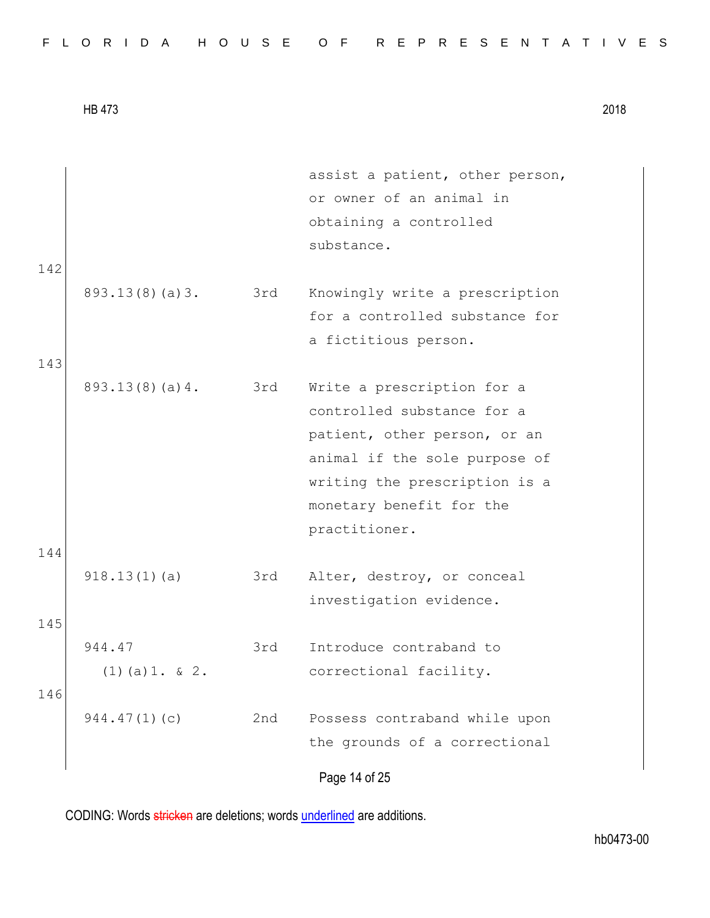|  |  |  |  |  |  |  |  |  |  | FLORIDA HOUSE OF REPRESENTATIVES |  |  |  |  |  |  |  |  |  |  |  |  |  |  |  |  |
|--|--|--|--|--|--|--|--|--|--|----------------------------------|--|--|--|--|--|--|--|--|--|--|--|--|--|--|--|--|
|--|--|--|--|--|--|--|--|--|--|----------------------------------|--|--|--|--|--|--|--|--|--|--|--|--|--|--|--|--|

| 142 |                             |     | assist a patient, other person,<br>or owner of an animal in<br>obtaining a controlled<br>substance.                                                                                                     |
|-----|-----------------------------|-----|---------------------------------------------------------------------------------------------------------------------------------------------------------------------------------------------------------|
| 143 | 893.13(8)(a)3.              | 3rd | Knowingly write a prescription<br>for a controlled substance for<br>a fictitious person.                                                                                                                |
| 144 | 893.13(8)(a)4.              | 3rd | Write a prescription for a<br>controlled substance for a<br>patient, other person, or an<br>animal if the sole purpose of<br>writing the prescription is a<br>monetary benefit for the<br>practitioner. |
| 145 | 918.13(1)(a)                | 3rd | Alter, destroy, or conceal<br>investigation evidence.                                                                                                                                                   |
| 146 | 944.47<br>$(1)$ (a) 1. & 2. | 3rd | Introduce contraband to<br>correctional facility.                                                                                                                                                       |
|     | 944.47(1)(c)                | 2nd | Possess contraband while upon<br>the grounds of a correctional                                                                                                                                          |
|     |                             |     | Page 14 of 25                                                                                                                                                                                           |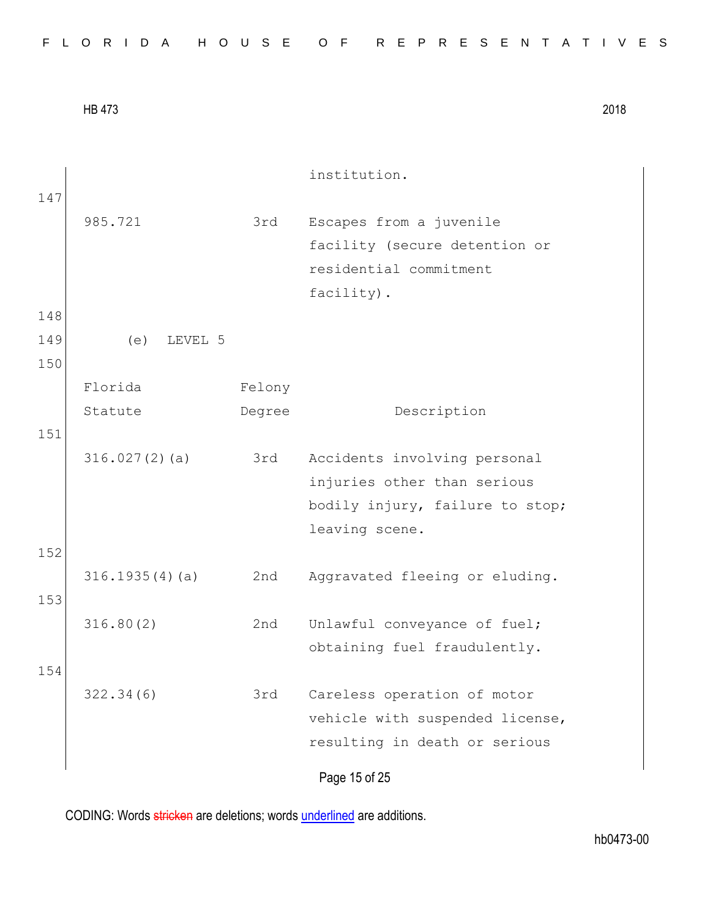Page 15 of 25 institution. 147 985.721 3rd Escapes from a juvenile facility (secure detention or residential commitment facility). 148 149 (e) LEVEL 5 150 Florida Statute Felony Degree Description 151 316.027(2)(a) 3rd Accidents involving personal injuries other than serious bodily injury, failure to stop; leaving scene. 152 316.1935(4)(a) 2nd Aggravated fleeing or eluding. 153 316.80(2) 2nd Unlawful conveyance of fuel; obtaining fuel fraudulently. 154 322.34(6) 3rd Careless operation of motor vehicle with suspended license, resulting in death or serious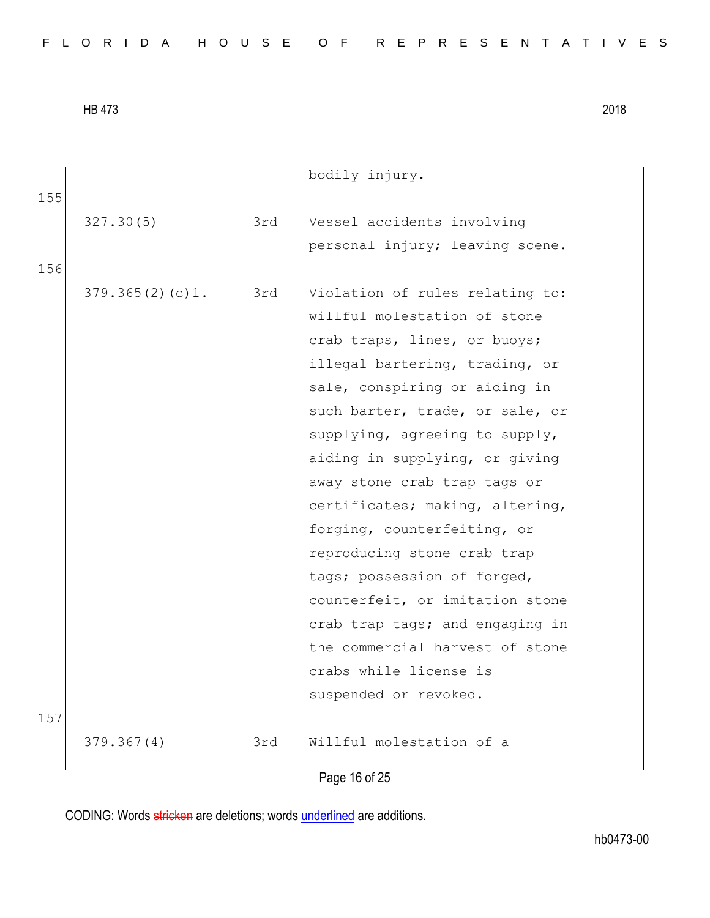| FLORIDA HOUSE OF REPRESENTATIVES |  |
|----------------------------------|--|
|----------------------------------|--|

|     |                     |     | bodily injury.                  |
|-----|---------------------|-----|---------------------------------|
| 155 | 327.30(5)           | 3rd | Vessel accidents involving      |
|     |                     |     | personal injury; leaving scene. |
| 156 | 379.365(2)(c)1. 3rd |     | Violation of rules relating to: |
|     |                     |     | willful molestation of stone    |
|     |                     |     | crab traps, lines, or buoys;    |
|     |                     |     | illegal bartering, trading, or  |
|     |                     |     | sale, conspiring or aiding in   |
|     |                     |     | such barter, trade, or sale, or |
|     |                     |     | supplying, agreeing to supply,  |
|     |                     |     | aiding in supplying, or giving  |
|     |                     |     | away stone crab trap tags or    |
|     |                     |     | certificates; making, altering, |
|     |                     |     | forging, counterfeiting, or     |
|     |                     |     | reproducing stone crab trap     |
|     |                     |     | tags; possession of forged,     |
|     |                     |     | counterfeit, or imitation stone |
|     |                     |     | crab trap tags; and engaging in |
|     |                     |     | the commercial harvest of stone |
|     |                     |     | crabs while license is          |
| 157 |                     |     | suspended or revoked.           |
|     | 379.367(4)          | 3rd | Willful molestation of a        |
|     |                     |     |                                 |

Page 16 of 25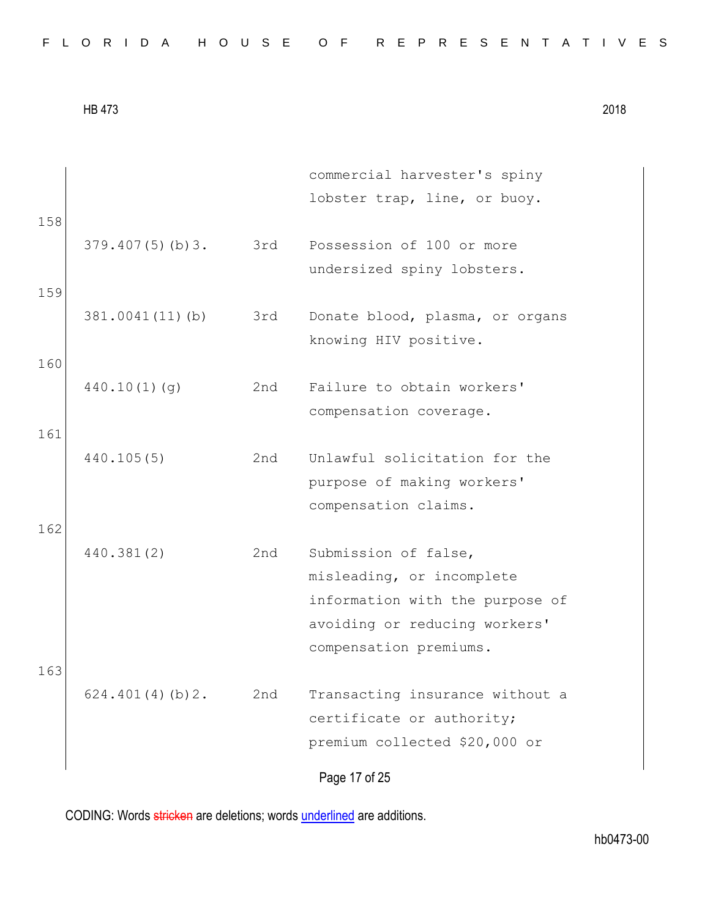|  |  |  |  |  |  |  |  |  |  | FLORIDA HOUSE OF REPRESENTATIVES |  |  |  |  |  |  |  |  |  |  |  |  |  |  |  |  |
|--|--|--|--|--|--|--|--|--|--|----------------------------------|--|--|--|--|--|--|--|--|--|--|--|--|--|--|--|--|
|--|--|--|--|--|--|--|--|--|--|----------------------------------|--|--|--|--|--|--|--|--|--|--|--|--|--|--|--|--|

| 158 |                     |     | commercial harvester's spiny<br>lobster trap, line, or buoy.                                  |
|-----|---------------------|-----|-----------------------------------------------------------------------------------------------|
|     | $379.407(5)$ (b) 3. | 3rd | Possession of 100 or more<br>undersized spiny lobsters.                                       |
| 159 | 381.0041(11)(b)     | 3rd | Donate blood, plasma, or organs<br>knowing HIV positive.                                      |
| 160 | 440.10(1)(q)        | 2nd | Failure to obtain workers'<br>compensation coverage.                                          |
| 161 | 440.105(5)          | 2nd | Unlawful solicitation for the<br>purpose of making workers'                                   |
| 162 |                     |     | compensation claims.                                                                          |
|     | 440.381(2)          | 2nd | Submission of false,<br>misleading, or incomplete                                             |
| 163 |                     |     | information with the purpose of<br>avoiding or reducing workers'<br>compensation premiums.    |
|     | 624.401(4)(b)2.     | 2nd | Transacting insurance without a<br>certificate or authority;<br>premium collected \$20,000 or |
|     |                     |     | Page 17 of 25                                                                                 |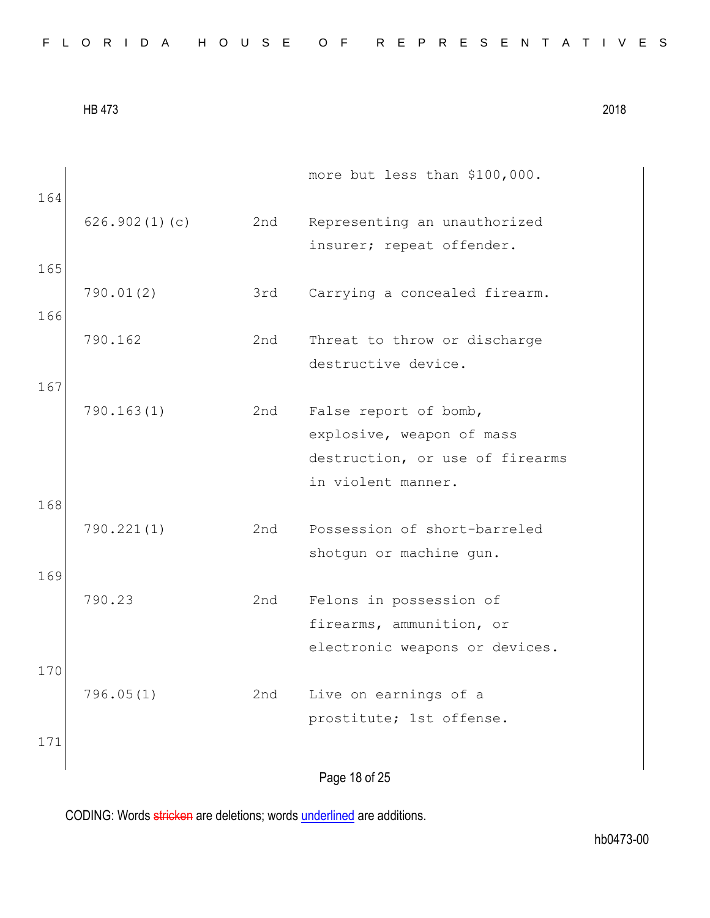| 164 |               |     | more but less than \$100,000.                                                         |
|-----|---------------|-----|---------------------------------------------------------------------------------------|
|     | 626.902(1)(c) | 2nd | Representing an unauthorized                                                          |
| 165 |               |     | insurer; repeat offender.                                                             |
| 166 | 790.01(2)     | 3rd | Carrying a concealed firearm.                                                         |
|     | 790.162       | 2nd | Threat to throw or discharge                                                          |
| 167 |               |     | destructive device.                                                                   |
|     | 790.163(1)    | 2nd | False report of bomb,<br>explosive, weapon of mass                                    |
|     |               |     | destruction, or use of firearms                                                       |
| 168 |               |     | in violent manner.                                                                    |
|     | 790.221(1)    | 2nd | Possession of short-barreled<br>shotgun or machine gun.                               |
| 169 |               |     |                                                                                       |
|     | 790.23        | 2nd | Felons in possession of<br>firearms, ammunition, or<br>electronic weapons or devices. |
| 170 |               |     |                                                                                       |
|     | 796.05(1)     | 2nd | Live on earnings of a<br>prostitute; 1st offense.                                     |
| 171 |               |     |                                                                                       |

Page 18 of 25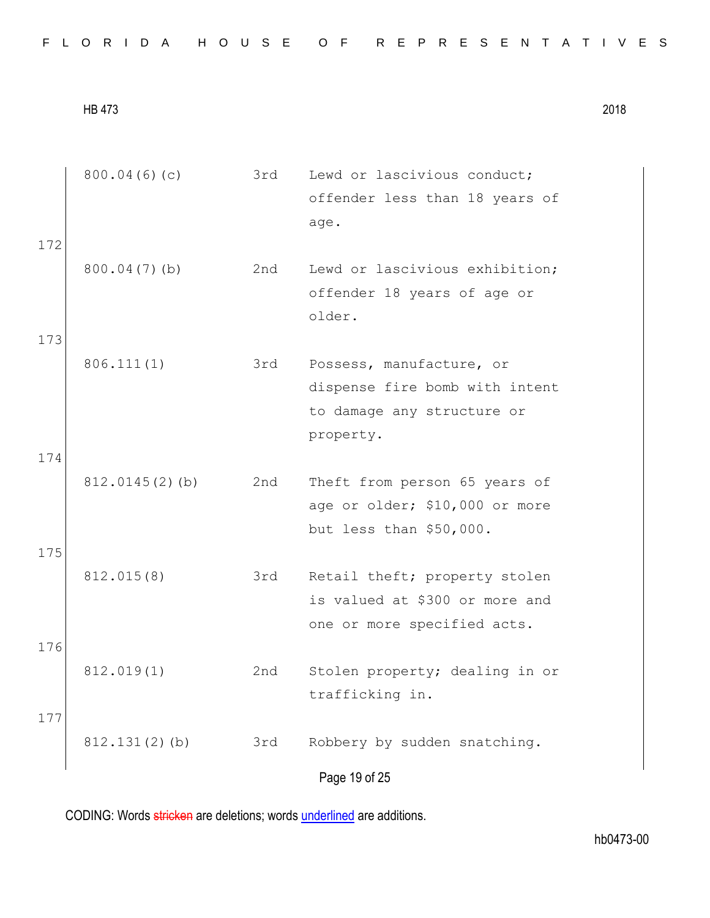| 172        | 800.04(6)(c)      | 3rd | Lewd or lascivious conduct;<br>offender less than 18 years of<br>age.                                 |
|------------|-------------------|-----|-------------------------------------------------------------------------------------------------------|
| 173        | 800.04(7)(b)      | 2nd | Lewd or lascivious exhibition;<br>offender 18 years of age or<br>older.                               |
|            | 806.111(1)        | 3rd | Possess, manufacture, or<br>dispense fire bomb with intent<br>to damage any structure or<br>property. |
| 174<br>175 | $812.0145(2)$ (b) | 2nd | Theft from person 65 years of<br>age or older; \$10,000 or more<br>but less than \$50,000.            |
|            | 812.015(8)        | 3rd | Retail theft; property stolen<br>is valued at \$300 or more and<br>one or more specified acts.        |
| 176<br>177 | 812.019(1)        | 2nd | Stolen property; dealing in or<br>trafficking in.                                                     |
|            | 812.131(2)(b)     | 3rd | Robbery by sudden snatching.<br>Page 19 of 25                                                         |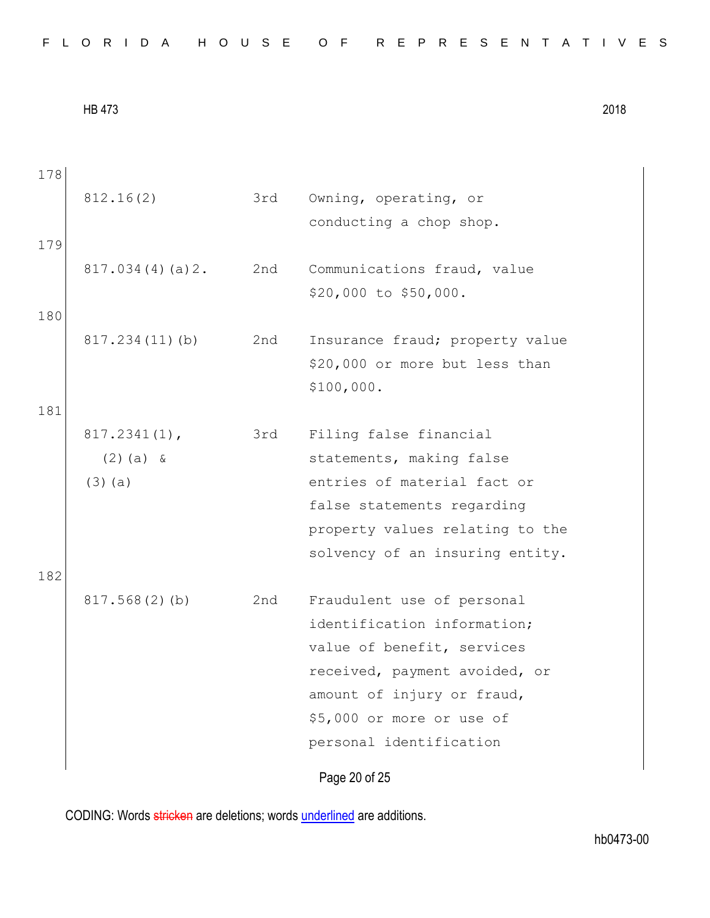| FLORIDA HOUSE OF REPRESENTATIVES |  |
|----------------------------------|--|
|----------------------------------|--|

| 178 |                 |     |                                 |
|-----|-----------------|-----|---------------------------------|
|     | 812.16(2)       | 3rd | Owning, operating, or           |
|     |                 |     | conducting a chop shop.         |
| 179 |                 |     |                                 |
|     | 817.034(4)(a)2. | 2nd | Communications fraud, value     |
|     |                 |     | \$20,000 to \$50,000.           |
| 180 |                 |     |                                 |
|     | 817.234(11)(b)  | 2nd | Insurance fraud; property value |
|     |                 |     | \$20,000 or more but less than  |
|     |                 |     | \$100,000.                      |
| 181 |                 |     |                                 |
|     | $817.2341(1)$ , | 3rd | Filing false financial          |
|     | $(2)$ (a) &     |     | statements, making false        |
|     | $(3)$ (a)       |     | entries of material fact or     |
|     |                 |     | false statements regarding      |
|     |                 |     | property values relating to the |
|     |                 |     | solvency of an insuring entity. |
| 182 |                 |     |                                 |
|     | 817.568(2)(b)   | 2nd | Fraudulent use of personal      |
|     |                 |     | identification information;     |
|     |                 |     | value of benefit, services      |
|     |                 |     | received, payment avoided, or   |
|     |                 |     | amount of injury or fraud,      |
|     |                 |     | \$5,000 or more or use of       |
|     |                 |     | personal identification         |
|     |                 |     | Page 20 of 25                   |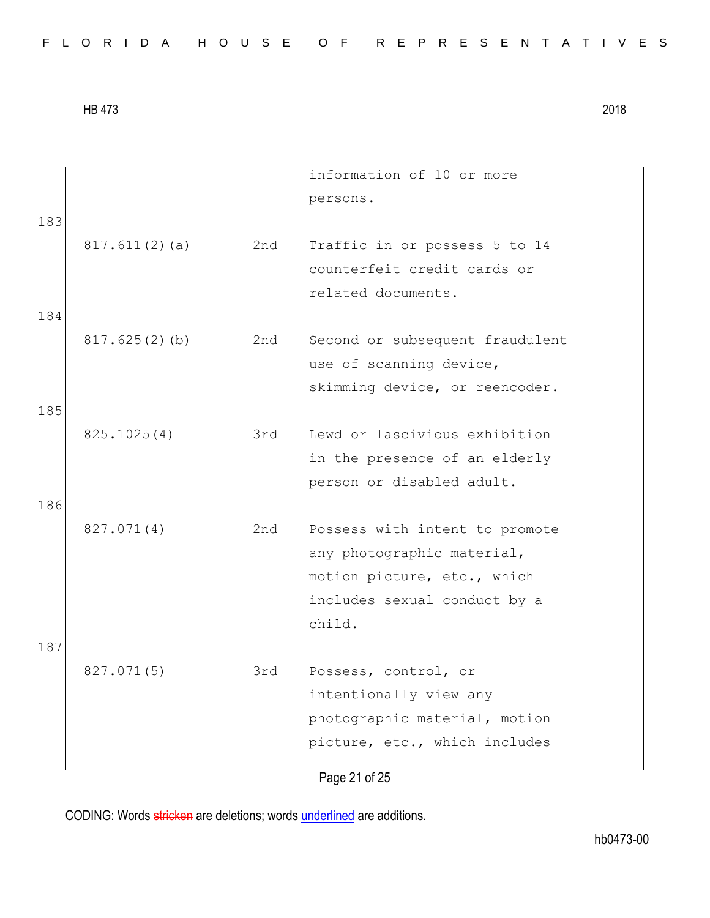| 817.611(2)(a)<br>2nd<br>Traffic in or possess 5 to 14<br>counterfeit credit cards or<br>related documents.<br>184<br>817.625(2)(b)<br>2nd<br>Second or subsequent fraudulent<br>use of scanning device,<br>skimming device, or reencoder.<br>185<br>Lewd or lascivious exhibition<br>825.1025(4)<br>3rd<br>in the presence of an elderly<br>person or disabled adult.<br>186<br>827.071(4)<br>2nd<br>Possess with intent to promote<br>any photographic material,<br>motion picture, etc., which<br>includes sexual conduct by a<br>child. |  |
|--------------------------------------------------------------------------------------------------------------------------------------------------------------------------------------------------------------------------------------------------------------------------------------------------------------------------------------------------------------------------------------------------------------------------------------------------------------------------------------------------------------------------------------------|--|
|                                                                                                                                                                                                                                                                                                                                                                                                                                                                                                                                            |  |
|                                                                                                                                                                                                                                                                                                                                                                                                                                                                                                                                            |  |
|                                                                                                                                                                                                                                                                                                                                                                                                                                                                                                                                            |  |
|                                                                                                                                                                                                                                                                                                                                                                                                                                                                                                                                            |  |
| 187<br>827.071(5)<br>3rd<br>Possess, control, or<br>intentionally view any<br>photographic material, motion<br>picture, etc., which includes<br>Page 21 of 25                                                                                                                                                                                                                                                                                                                                                                              |  |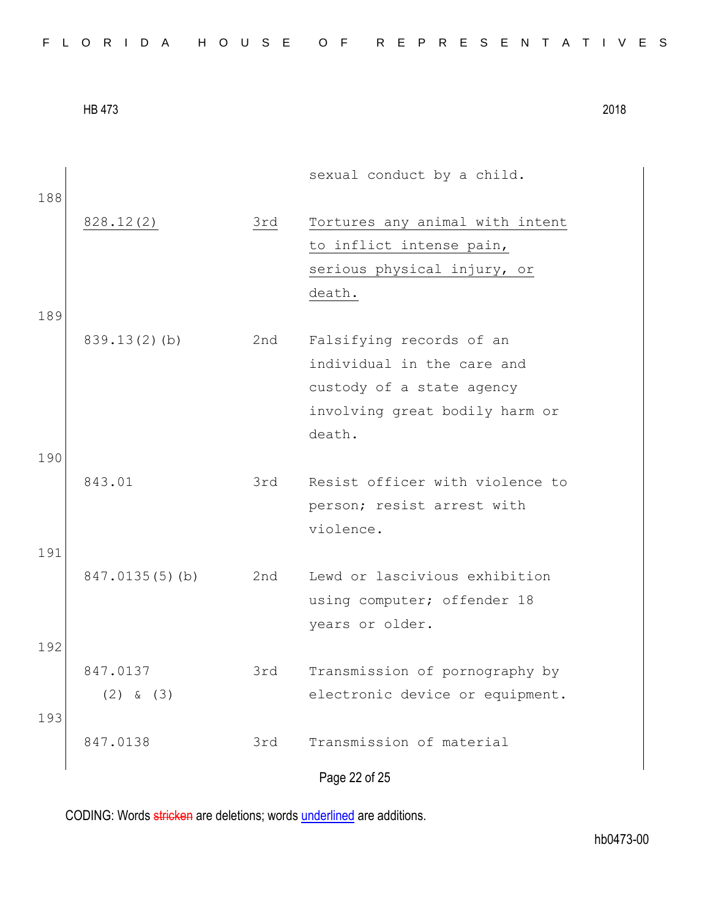|     |                   |     | sexual conduct by a child.      |
|-----|-------------------|-----|---------------------------------|
| 188 | 828.12(2)         | 3rd | Tortures any animal with intent |
|     |                   |     | to inflict intense pain,        |
|     |                   |     | serious physical injury, or     |
|     |                   |     | death.                          |
| 189 |                   |     |                                 |
|     | $839.13(2)$ (b)   | 2nd | Falsifying records of an        |
|     |                   |     | individual in the care and      |
|     |                   |     | custody of a state agency       |
|     |                   |     | involving great bodily harm or  |
|     |                   |     | death.                          |
| 190 |                   |     |                                 |
|     | 843.01            | 3rd | Resist officer with violence to |
|     |                   |     | person; resist arrest with      |
|     |                   |     | violence.                       |
| 191 |                   |     |                                 |
|     | $847.0135(5)$ (b) | 2nd | Lewd or lascivious exhibition   |
|     |                   |     | using computer; offender 18     |
|     |                   |     | years or older.                 |
| 192 |                   |     |                                 |
|     | 847.0137          | 3rd | Transmission of pornography by  |
|     | $(2)$ & $(3)$     |     | electronic device or equipment. |
| 193 |                   |     |                                 |
|     | 847.0138          | 3rd | Transmission of material        |
|     |                   |     | Page 22 of 25                   |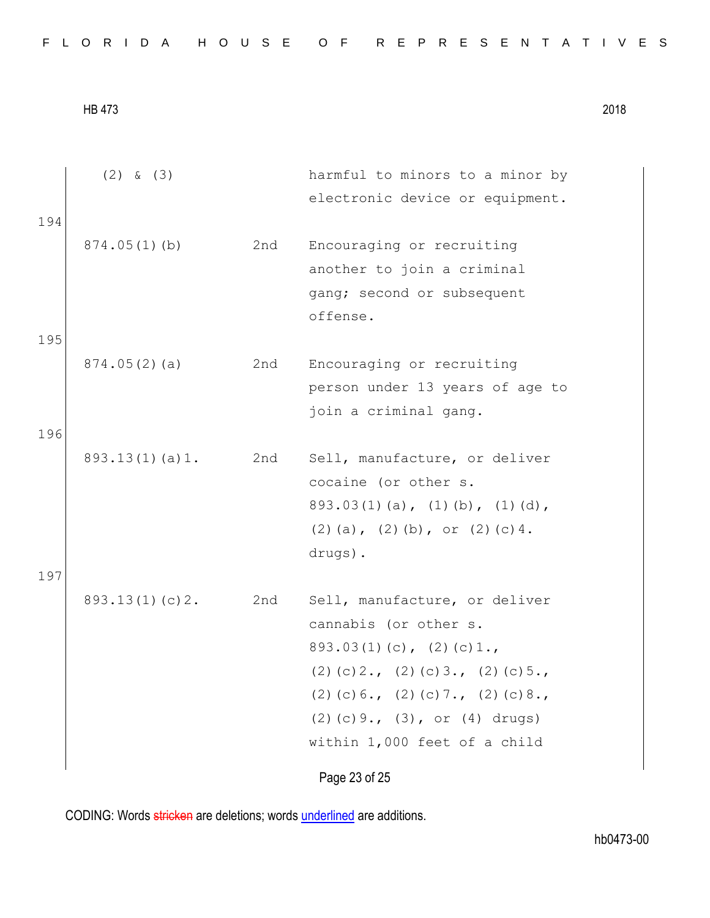|  |  |  |  |  |  |  |  |  |  |  |  |  | FLORIDA HOUSE OF REPRESENTATIVES |  |  |  |  |  |  |  |  |  |  |  |  |  |  |  |  |
|--|--|--|--|--|--|--|--|--|--|--|--|--|----------------------------------|--|--|--|--|--|--|--|--|--|--|--|--|--|--|--|--|
|--|--|--|--|--|--|--|--|--|--|--|--|--|----------------------------------|--|--|--|--|--|--|--|--|--|--|--|--|--|--|--|--|

|     | $(2)$ & $(3)$  |     | harmful to minors to a minor by                       |
|-----|----------------|-----|-------------------------------------------------------|
| 194 |                |     | electronic device or equipment.                       |
|     | 874.05(1)(b)   | 2nd | Encouraging or recruiting                             |
|     |                |     | another to join a criminal                            |
|     |                |     | gang; second or subsequent                            |
|     |                |     | offense.                                              |
| 195 |                |     |                                                       |
|     | 874.05(2)(a)   | 2nd | Encouraging or recruiting                             |
|     |                |     | person under 13 years of age to                       |
|     |                |     | join a criminal gang.                                 |
| 196 |                |     |                                                       |
|     | 893.13(1)(a)1. | 2nd | Sell, manufacture, or deliver<br>cocaine (or other s. |
|     |                |     | $893.03(1)(a)$ , $(1)(b)$ , $(1)(d)$ ,                |
|     |                |     | $(2)$ (a), $(2)$ (b), or $(2)$ (c) 4.                 |
|     |                |     | drugs).                                               |
| 197 |                |     |                                                       |
|     | 893.13(1)(c)2. | 2nd | Sell, manufacture, or deliver                         |
|     |                |     | cannabis (or other s.                                 |
|     |                |     | $893.03(1)(c)$ , $(2)(c)1.$                           |
|     |                |     | $(2)$ (c) 2., (2) (c) 3., (2) (c) 5.,                 |
|     |                |     | $(2)$ (c) 6., (2) (c) 7., (2) (c) 8.,                 |
|     |                |     | $(2)$ (c) 9., (3), or (4) drugs)                      |
|     |                |     | within 1,000 feet of a child                          |
|     |                |     | Page 23 of 25                                         |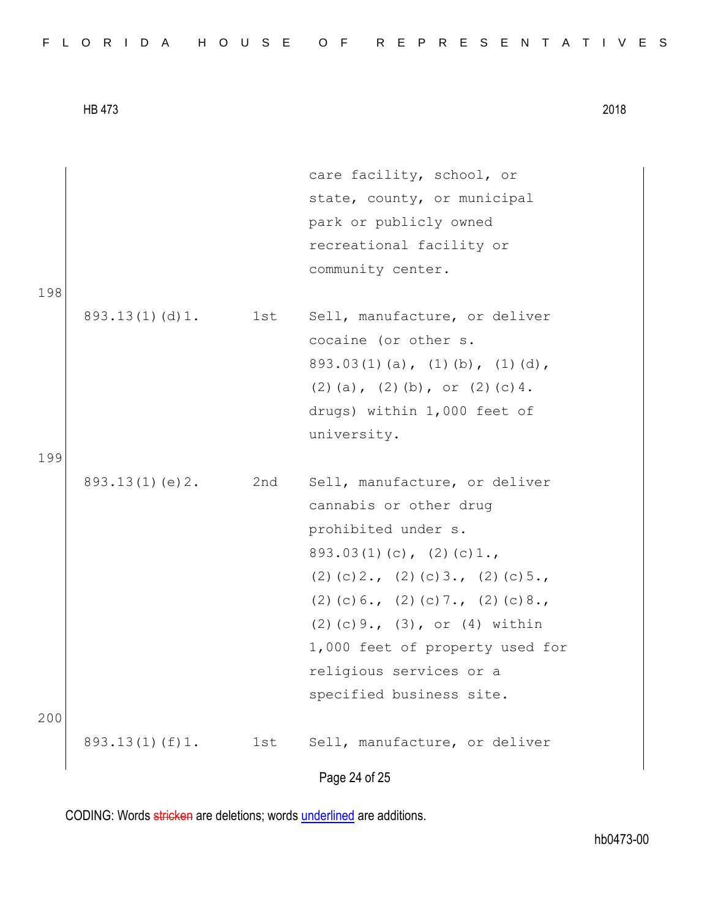|  |  |  |  |  |  |  |  | FLORIDA HOUSE OF REPRESENTATIVES |  |  |  |  |  |  |  |  |  |  |  |  |  |  |  |  |  |  |  |  |  |  |  |  |  |  |
|--|--|--|--|--|--|--|--|----------------------------------|--|--|--|--|--|--|--|--|--|--|--|--|--|--|--|--|--|--|--|--|--|--|--|--|--|--|
|--|--|--|--|--|--|--|--|----------------------------------|--|--|--|--|--|--|--|--|--|--|--|--|--|--|--|--|--|--|--|--|--|--|--|--|--|--|

|     |                |     | Page 24 of 25                                         |
|-----|----------------|-----|-------------------------------------------------------|
|     | 893.13(1)(f)1. | 1st | Sell, manufacture, or deliver                         |
| 200 |                |     | specified business site.                              |
|     |                |     | religious services or a                               |
|     |                |     | 1,000 feet of property used for                       |
|     |                |     | $(2)$ (c) 9., $(3)$ , or $(4)$ within                 |
|     |                |     | $(2)$ (c) 6., (2) (c) 7., (2) (c) 8.,                 |
|     |                |     | $(2)$ (c) 2., (2) (c) 3., (2) (c) 5.,                 |
|     |                |     | $893.03(1)(c)$ , $(2)(c)1.$                           |
|     |                |     | prohibited under s.                                   |
|     |                |     | cannabis or other drug                                |
|     | 893.13(1)(e)2. | 2nd | Sell, manufacture, or deliver                         |
| 199 |                |     |                                                       |
|     |                |     | university.                                           |
|     |                |     | drugs) within 1,000 feet of                           |
|     |                |     | $(2)$ (a), $(2)$ (b), or $(2)$ (c) 4.                 |
|     |                |     | $893.03(1)(a)$ , $(1)(b)$ , $(1)(d)$ ,                |
|     | 893.13(1)(d)1. | 1st | Sell, manufacture, or deliver<br>cocaine (or other s. |
| 198 |                |     |                                                       |
|     |                |     | community center.                                     |
|     |                |     | recreational facility or                              |
|     |                |     | park or publicly owned                                |
|     |                |     | state, county, or municipal                           |
|     |                |     | care facility, school, or                             |
|     |                |     |                                                       |